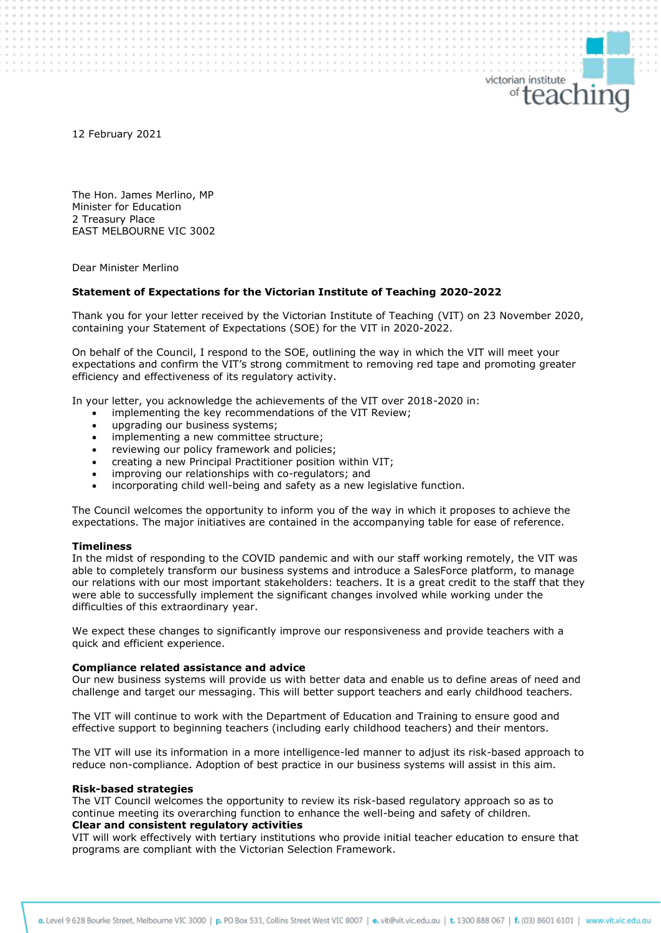12 February 2021

The Hon. James Merlino, MP Minister for Education 2 Treasury Place EAST MELBOURNE VIC 3002

Dear Minister Merlino

## **Statement of Expectations for the Victorian Institute of Teaching 2020-2022**

Thank you for your letter received by the Victorian Institute of Teaching (VIT) on 23 November 2020, containing your Statement of Expectations (SOE) for the VIT in 2020-2022.

victorian institute

<sup>of</sup>teachinc

On behalf of the Council, I respond to the SOE, outlining the way in which the VIT will meet your expectations and confirm the VIT's strong commitment to removing red tape and promoting greater efficiency and effectiveness of its regulatory activity.

In your letter, you acknowledge the achievements of the VIT over 2018-2020 in:

- implementing the key recommendations of the VIT Review;
- upgrading our business systems;
- implementing a new committee structure;
- reviewing our policy framework and policies;
- creating a new Principal Practitioner position within VIT;
- improving our relationships with co-regulators; and
- incorporating child well-being and safety as a new legislative function.

The Council welcomes the opportunity to inform you of the way in which it proposes to achieve the expectations. The major initiatives are contained in the accompanying table for ease of reference.

#### **Timeliness**

In the midst of responding to the COVID pandemic and with our staff working remotely, the VIT was able to completely transform our business systems and introduce a SalesForce platform, to manage our relations with our most important stakeholders: teachers. It is a great credit to the staff that they were able to successfully implement the significant changes involved while working under the difficulties of this extraordinary year.

We expect these changes to significantly improve our responsiveness and provide teachers with a quick and efficient experience.

### **Compliance related assistance and advice**

Our new business systems will provide us with better data and enable us to define areas of need and challenge and target our messaging. This will better support teachers and early childhood teachers.

The VIT will continue to work with the Department of Education and Training to ensure good and effective support to beginning teachers (including early childhood teachers) and their mentors.

The VIT will use its information in a more intelligence-led manner to adjust its risk-based approach to reduce non-compliance. Adoption of best practice in our business systems will assist in this aim.

#### **Risk-based strategies**

The VIT Council welcomes the opportunity to review its risk-based regulatory approach so as to continue meeting its overarching function to enhance the well-being and safety of children. **Clear and consistent regulatory activities**

VIT will work effectively with tertiary institutions who provide initial teacher education to ensure that programs are compliant with the Victorian Selection Framework.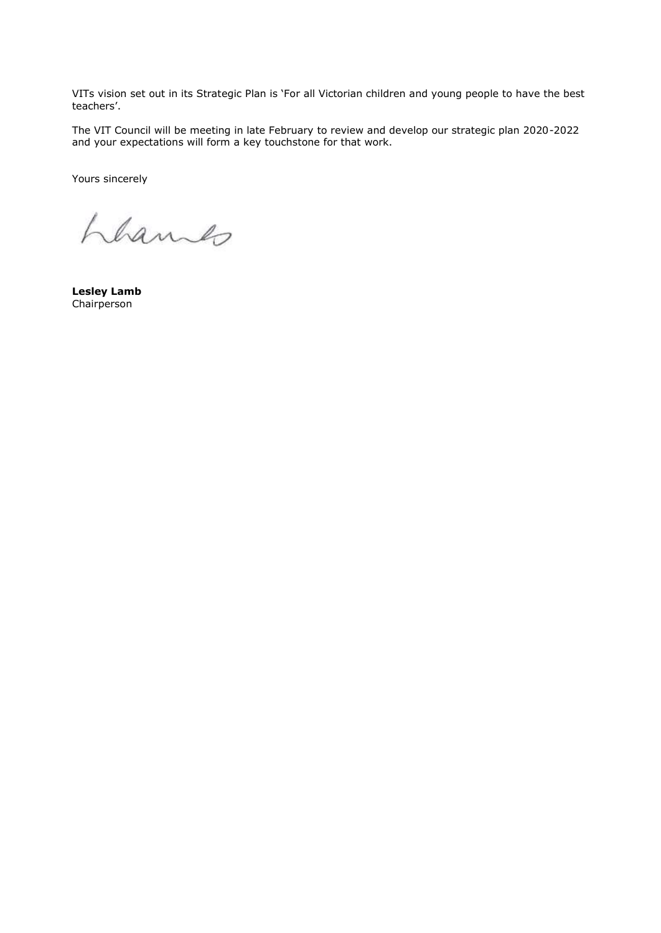VITs vision set out in its Strategic Plan is 'For all Victorian children and young people to have the best teachers'.

The VIT Council will be meeting in late February to review and develop our strategic plan 2020-2022 and your expectations will form a key touchstone for that work.

Yours sincerely

Lhames

**Lesley Lamb** Chairperson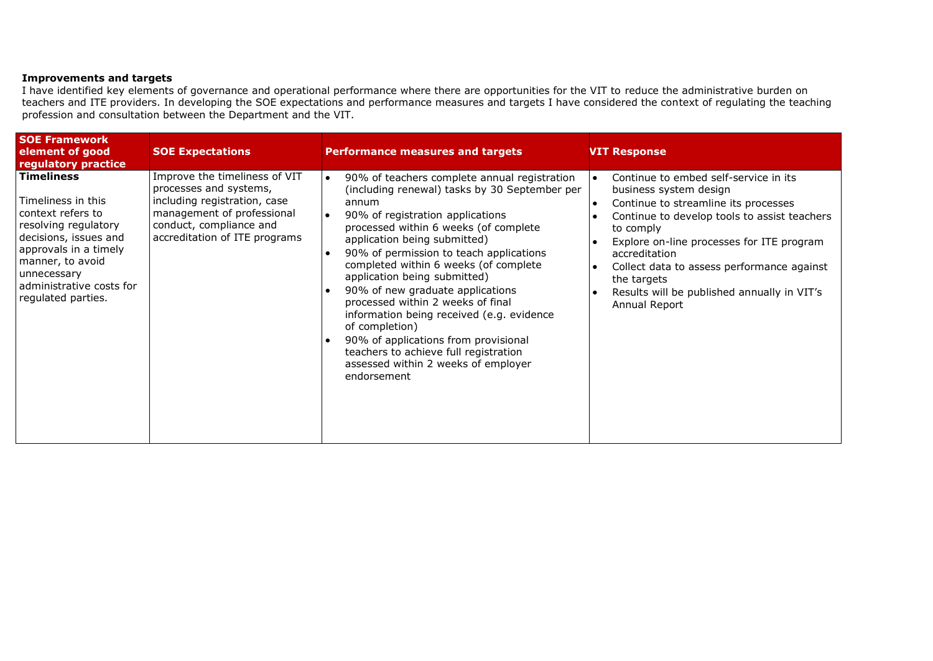# **Improvements and targets**

I have identified key elements of governance and operational performance where there are opportunities for the VIT to reduce the administrative burden on teachers and ITE providers. In developing the SOE expectations and performance measures and targets I have considered the context of regulating the teaching profession and consultation between the Department and the VIT.

| <b>SOE Framework</b><br>element of good<br>regulatory practice                                                                                                                                                                | <b>SOE Expectations</b>                                                                                                                                                           | <b>Performance measures and targets</b>                                                                                                                                                                                                                                                                                                                                                                                                                                                                                                                                                                                                          | <b>VIT Response</b>                                                                                                                                                                                                                                                                                                                                                         |
|-------------------------------------------------------------------------------------------------------------------------------------------------------------------------------------------------------------------------------|-----------------------------------------------------------------------------------------------------------------------------------------------------------------------------------|--------------------------------------------------------------------------------------------------------------------------------------------------------------------------------------------------------------------------------------------------------------------------------------------------------------------------------------------------------------------------------------------------------------------------------------------------------------------------------------------------------------------------------------------------------------------------------------------------------------------------------------------------|-----------------------------------------------------------------------------------------------------------------------------------------------------------------------------------------------------------------------------------------------------------------------------------------------------------------------------------------------------------------------------|
| <b>Timeliness</b><br>l Timeliness in this<br>context refers to<br>resolving regulatory<br>decisions, issues and<br>approvals in a timely<br>manner, to avoid<br>unnecessary<br>administrative costs for<br>regulated parties. | Improve the timeliness of VIT<br>processes and systems,<br>including registration, case<br>management of professional<br>conduct, compliance and<br>accreditation of ITE programs | 90% of teachers complete annual registration<br>$\bullet$<br>(including renewal) tasks by 30 September per<br>annum<br>90% of registration applications<br>$\bullet$<br>processed within 6 weeks (of complete<br>application being submitted)<br>90% of permission to teach applications<br>completed within 6 weeks (of complete<br>application being submitted)<br>90% of new graduate applications<br>processed within 2 weeks of final<br>information being received (e.g. evidence<br>of completion)<br>90% of applications from provisional<br>teachers to achieve full registration<br>assessed within 2 weeks of employer<br>endorsement | Continue to embed self-service in its<br>∣∙<br>business system design<br>Continue to streamline its processes<br>∣∙<br>Continue to develop tools to assist teachers<br>to comply<br>Explore on-line processes for ITE program<br>accreditation<br>Collect data to assess performance against<br>the targets<br>Results will be published annually in VIT's<br>Annual Report |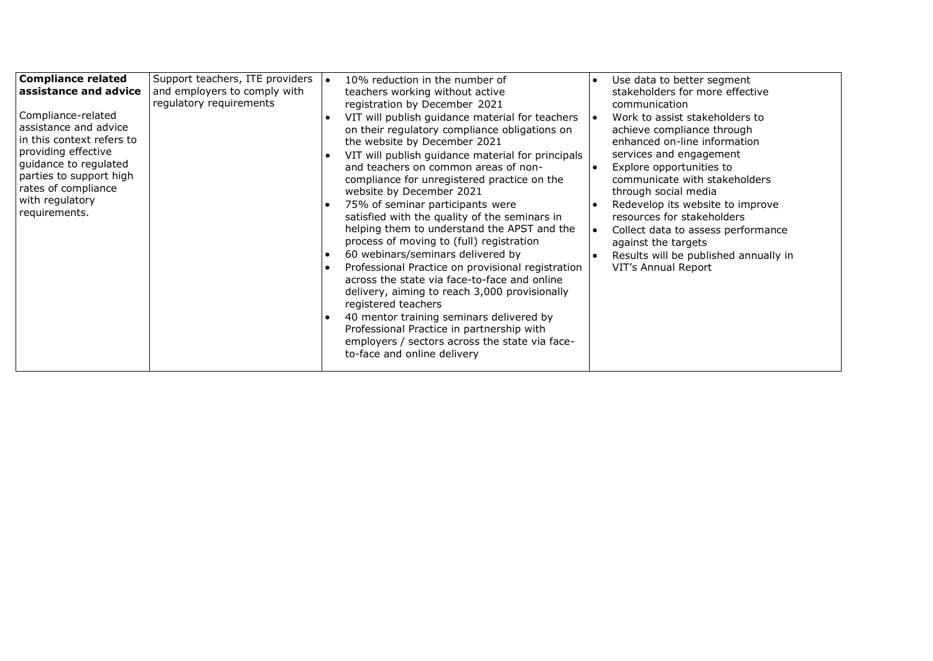| <b>Compliance related</b><br>assistance and advice<br>Compliance-related<br>assistance and advice<br>in this context refers to<br>providing effective<br>guidance to regulated<br>parties to support high<br>rates of compliance<br>with regulatory<br>requirements. | Support teachers, ITE providers<br>and employers to comply with<br>regulatory requirements | 10% reduction in the number of<br>l e<br>teachers working without active<br>registration by December 2021<br>VIT will publish guidance material for teachers<br>on their regulatory compliance obligations on<br>the website by December 2021<br>VIT will publish guidance material for principals<br>and teachers on common areas of non-<br>compliance for unregistered practice on the<br>website by December 2021<br>75% of seminar participants were<br>satisfied with the quality of the seminars in<br>helping them to understand the APST and the<br>process of moving to (full) registration<br>60 webinars/seminars delivered by<br>Professional Practice on provisional registration<br>$\bullet$<br>across the state via face-to-face and online<br>delivery, aiming to reach 3,000 provisionally<br>registered teachers<br>40 mentor training seminars delivered by<br>Professional Practice in partnership with<br>employers / sectors across the state via face-<br>to-face and online delivery | Use data to better segment<br>$\bullet$<br>stakeholders for more effective<br>communication<br>Work to assist stakeholders to<br>achieve compliance through<br>enhanced on-line information<br>services and engagement<br>Explore opportunities to<br>communicate with stakeholders<br>through social media<br>Redevelop its website to improve<br>$\bullet$<br>resources for stakeholders<br>Collect data to assess performance<br>against the targets<br>Results will be published annually in<br>VIT's Annual Report |
|----------------------------------------------------------------------------------------------------------------------------------------------------------------------------------------------------------------------------------------------------------------------|--------------------------------------------------------------------------------------------|----------------------------------------------------------------------------------------------------------------------------------------------------------------------------------------------------------------------------------------------------------------------------------------------------------------------------------------------------------------------------------------------------------------------------------------------------------------------------------------------------------------------------------------------------------------------------------------------------------------------------------------------------------------------------------------------------------------------------------------------------------------------------------------------------------------------------------------------------------------------------------------------------------------------------------------------------------------------------------------------------------------|-------------------------------------------------------------------------------------------------------------------------------------------------------------------------------------------------------------------------------------------------------------------------------------------------------------------------------------------------------------------------------------------------------------------------------------------------------------------------------------------------------------------------|
|----------------------------------------------------------------------------------------------------------------------------------------------------------------------------------------------------------------------------------------------------------------------|--------------------------------------------------------------------------------------------|----------------------------------------------------------------------------------------------------------------------------------------------------------------------------------------------------------------------------------------------------------------------------------------------------------------------------------------------------------------------------------------------------------------------------------------------------------------------------------------------------------------------------------------------------------------------------------------------------------------------------------------------------------------------------------------------------------------------------------------------------------------------------------------------------------------------------------------------------------------------------------------------------------------------------------------------------------------------------------------------------------------|-------------------------------------------------------------------------------------------------------------------------------------------------------------------------------------------------------------------------------------------------------------------------------------------------------------------------------------------------------------------------------------------------------------------------------------------------------------------------------------------------------------------------|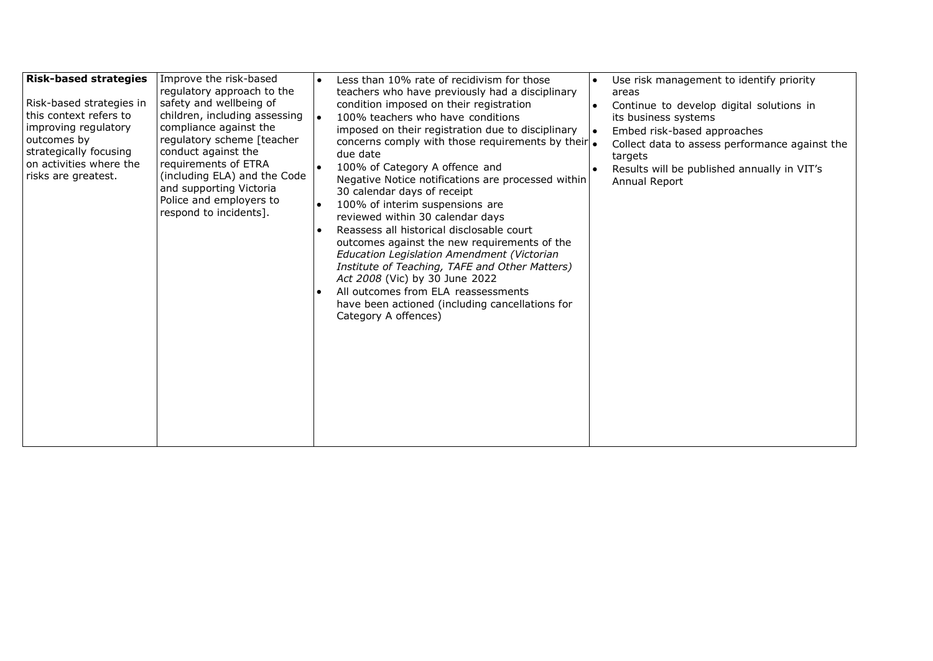| <b>Risk-based strategies</b><br>Risk-based strategies in<br>this context refers to<br>improving regulatory<br>outcomes by<br>strategically focusing<br>on activities where the<br>risks are greatest. | Improve the risk-based<br>regulatory approach to the<br>safety and wellbeing of<br>children, including assessing<br>compliance against the<br>regulatory scheme [teacher<br>conduct against the<br>requirements of ETRA<br>(including ELA) and the Code<br>and supporting Victoria<br>Police and employers to<br>respond to incidents]. | Less than 10% rate of recidivism for those<br>teachers who have previously had a disciplinary<br>condition imposed on their registration<br>100% teachers who have conditions<br>imposed on their registration due to disciplinary<br>concerns comply with those requirements by their .<br>due date<br>100% of Category A offence and<br>Negative Notice notifications are processed within<br>30 calendar days of receipt<br>100% of interim suspensions are<br>reviewed within 30 calendar days<br>Reassess all historical disclosable court<br>outcomes against the new requirements of the<br>Education Legislation Amendment (Victorian<br>Institute of Teaching, TAFE and Other Matters)<br>Act 2008 (Vic) by 30 June 2022<br>All outcomes from ELA reassessments<br>have been actioned (including cancellations for<br>Category A offences) | Use risk management to identify priority<br>areas<br>Continue to develop digital solutions in<br>its business systems<br>Embed risk-based approaches<br>Collect data to assess performance against the<br>targets<br>Results will be published annually in VIT's<br>Annual Report |
|-------------------------------------------------------------------------------------------------------------------------------------------------------------------------------------------------------|-----------------------------------------------------------------------------------------------------------------------------------------------------------------------------------------------------------------------------------------------------------------------------------------------------------------------------------------|-----------------------------------------------------------------------------------------------------------------------------------------------------------------------------------------------------------------------------------------------------------------------------------------------------------------------------------------------------------------------------------------------------------------------------------------------------------------------------------------------------------------------------------------------------------------------------------------------------------------------------------------------------------------------------------------------------------------------------------------------------------------------------------------------------------------------------------------------------|-----------------------------------------------------------------------------------------------------------------------------------------------------------------------------------------------------------------------------------------------------------------------------------|
|-------------------------------------------------------------------------------------------------------------------------------------------------------------------------------------------------------|-----------------------------------------------------------------------------------------------------------------------------------------------------------------------------------------------------------------------------------------------------------------------------------------------------------------------------------------|-----------------------------------------------------------------------------------------------------------------------------------------------------------------------------------------------------------------------------------------------------------------------------------------------------------------------------------------------------------------------------------------------------------------------------------------------------------------------------------------------------------------------------------------------------------------------------------------------------------------------------------------------------------------------------------------------------------------------------------------------------------------------------------------------------------------------------------------------------|-----------------------------------------------------------------------------------------------------------------------------------------------------------------------------------------------------------------------------------------------------------------------------------|